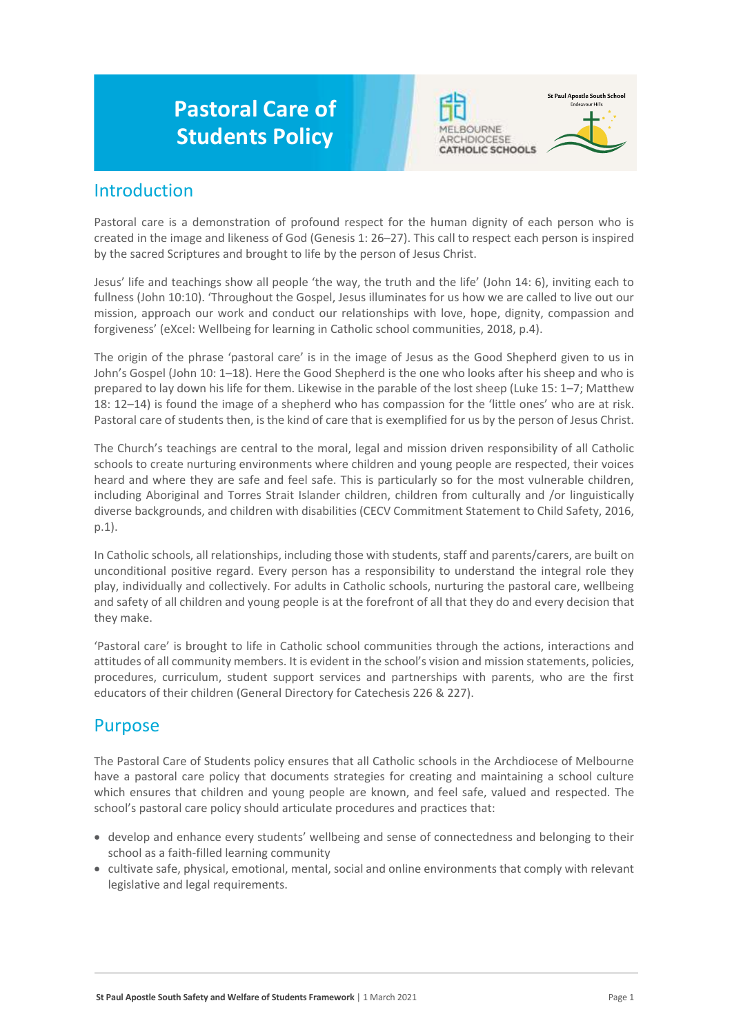# **Pastoral Care of Students Policy**





### Introduction

Pastoral care is a demonstration of profound respect for the human dignity of each person who is created in the image and likeness of God (Genesis 1: 26–27). This call to respect each person is inspired by the sacred Scriptures and brought to life by the person of Jesus Christ.

Jesus' life and teachings show all people 'the way, the truth and the life' (John 14: 6), inviting each to fullness (John 10:10). 'Throughout the Gospel, Jesus illuminates for us how we are called to live out our mission, approach our work and conduct our relationships with love, hope, dignity, compassion and forgiveness' (eXcel: Wellbeing for learning in Catholic school communities, 2018, p.4).

The origin of the phrase 'pastoral care' is in the image of Jesus as the Good Shepherd given to us in John's Gospel (John 10: 1–18). Here the Good Shepherd is the one who looks after his sheep and who is prepared to lay down his life for them. Likewise in the parable of the lost sheep (Luke 15: 1–7; Matthew 18: 12–14) is found the image of a shepherd who has compassion for the 'little ones' who are at risk. Pastoral care of students then, is the kind of care that is exemplified for us by the person of Jesus Christ.

The Church's teachings are central to the moral, legal and mission driven responsibility of all Catholic schools to create nurturing environments where children and young people are respected, their voices heard and where they are safe and feel safe. This is particularly so for the most vulnerable children, including Aboriginal and Torres Strait Islander children, children from culturally and /or linguistically diverse backgrounds, and children with disabilities (CECV Commitment Statement to Child Safety, 2016, p.1).

In Catholic schools, all relationships, including those with students, staff and parents/carers, are built on unconditional positive regard. Every person has a responsibility to understand the integral role they play, individually and collectively. For adults in Catholic schools, nurturing the pastoral care, wellbeing and safety of all children and young people is at the forefront of all that they do and every decision that they make.

'Pastoral care' is brought to life in Catholic school communities through the actions, interactions and attitudes of all community members. It is evident in the school's vision and mission statements, policies, procedures, curriculum, student support services and partnerships with parents, who are the first educators of their children (General Directory for Catechesis 226 & 227).

## Purpose

The Pastoral Care of Students policy ensures that all Catholic schools in the Archdiocese of Melbourne have a pastoral care policy that documents strategies for creating and maintaining a school culture which ensures that children and young people are known, and feel safe, valued and respected. The school's pastoral care policy should articulate procedures and practices that:

- develop and enhance every students' wellbeing and sense of connectedness and belonging to their school as a faith-filled learning community
- cultivate safe, physical, emotional, mental, social and online environments that comply with relevant legislative and legal requirements.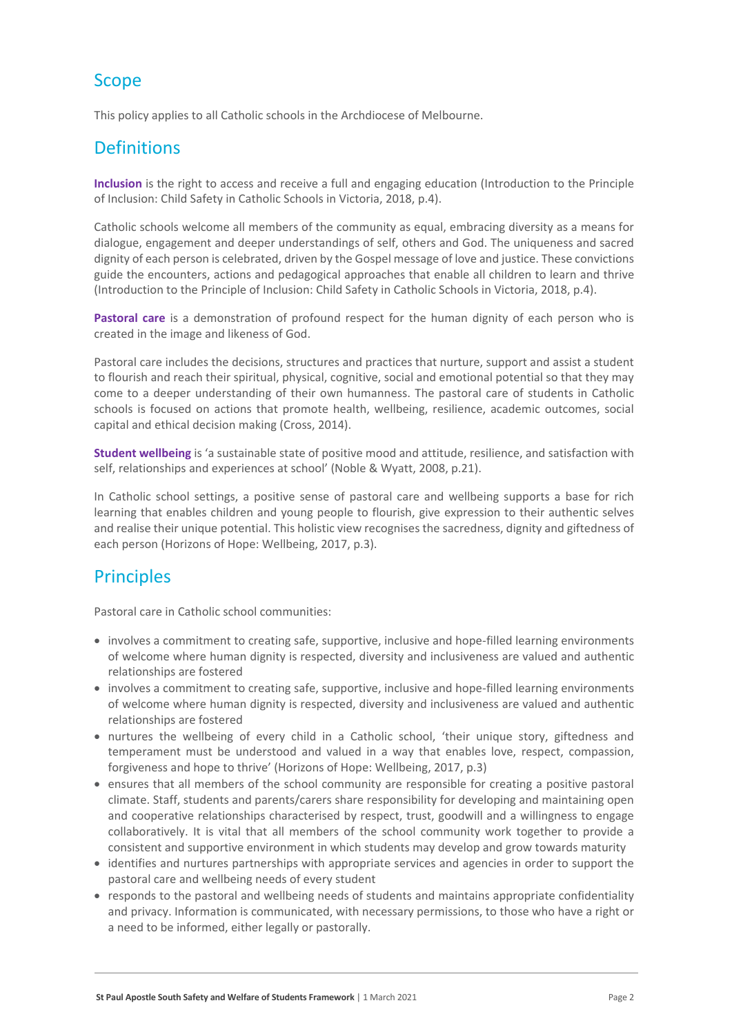# Scope

This policy applies to all Catholic schools in the Archdiocese of Melbourne.

# **Definitions**

**Inclusion** is the right to access and receive a full and engaging education (Introduction to the Principle of Inclusion: Child Safety in Catholic Schools in Victoria, 2018, p.4).

Catholic schools welcome all members of the community as equal, embracing diversity as a means for dialogue, engagement and deeper understandings of self, others and God. The uniqueness and sacred dignity of each person is celebrated, driven by the Gospel message of love and justice. These convictions guide the encounters, actions and pedagogical approaches that enable all children to learn and thrive (Introduction to the Principle of Inclusion: Child Safety in Catholic Schools in Victoria, 2018, p.4).

**Pastoral care** is a demonstration of profound respect for the human dignity of each person who is created in the image and likeness of God.

Pastoral care includes the decisions, structures and practices that nurture, support and assist a student to flourish and reach their spiritual, physical, cognitive, social and emotional potential so that they may come to a deeper understanding of their own humanness. The pastoral care of students in Catholic schools is focused on actions that promote health, wellbeing, resilience, academic outcomes, social capital and ethical decision making (Cross, 2014).

**Student wellbeing** is 'a sustainable state of positive mood and attitude, resilience, and satisfaction with self, relationships and experiences at school' (Noble & Wyatt, 2008, p.21).

In Catholic school settings, a positive sense of pastoral care and wellbeing supports a base for rich learning that enables children and young people to flourish, give expression to their authentic selves and realise their unique potential. This holistic view recognises the sacredness, dignity and giftedness of each person (Horizons of Hope: Wellbeing, 2017, p.3).

# **Principles**

Pastoral care in Catholic school communities:

- involves a commitment to creating safe, supportive, inclusive and hope-filled learning environments of welcome where human dignity is respected, diversity and inclusiveness are valued and authentic relationships are fostered
- involves a commitment to creating safe, supportive, inclusive and hope-filled learning environments of welcome where human dignity is respected, diversity and inclusiveness are valued and authentic relationships are fostered
- nurtures the wellbeing of every child in a Catholic school, 'their unique story, giftedness and temperament must be understood and valued in a way that enables love, respect, compassion, forgiveness and hope to thrive' (Horizons of Hope: Wellbeing, 2017, p.3)
- ensures that all members of the school community are responsible for creating a positive pastoral climate. Staff, students and parents/carers share responsibility for developing and maintaining open and cooperative relationships characterised by respect, trust, goodwill and a willingness to engage collaboratively. It is vital that all members of the school community work together to provide a consistent and supportive environment in which students may develop and grow towards maturity
- identifies and nurtures partnerships with appropriate services and agencies in order to support the pastoral care and wellbeing needs of every student
- responds to the pastoral and wellbeing needs of students and maintains appropriate confidentiality and privacy. Information is communicated, with necessary permissions, to those who have a right or a need to be informed, either legally or pastorally.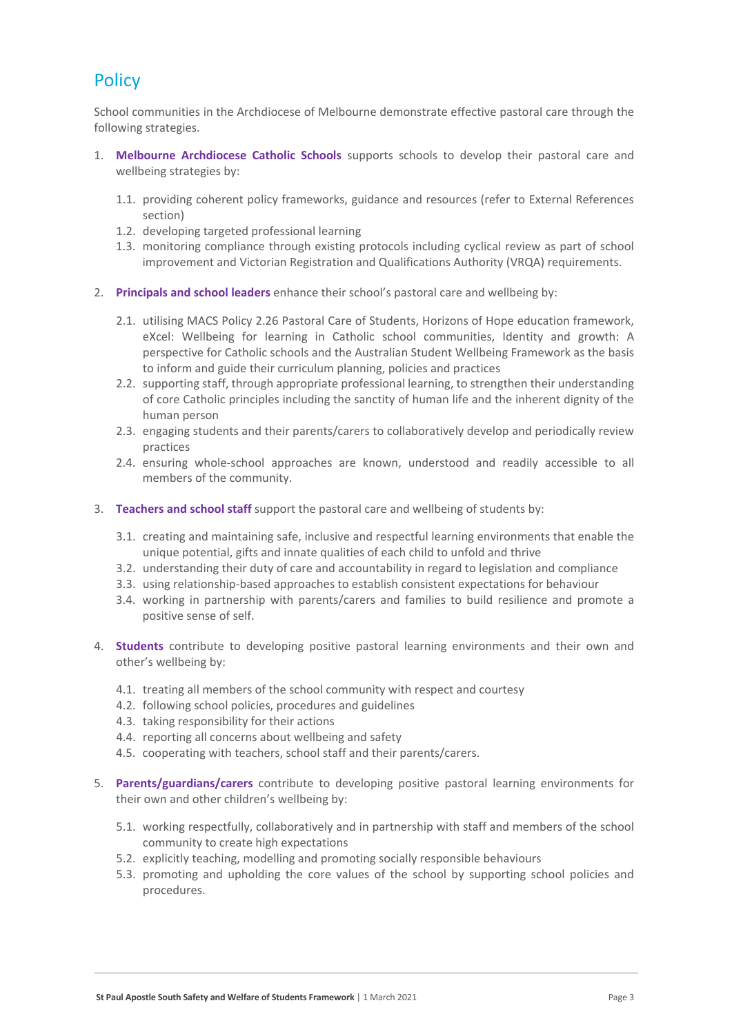# **Policy**

School communities in the Archdiocese of Melbourne demonstrate effective pastoral care through the following strategies.

- 1. **Melbourne Archdiocese Catholic Schools** supports schools to develop their pastoral care and wellbeing strategies by:
	- 1.1. providing coherent policy frameworks, guidance and resources (refer to External References section)
	- 1.2. developing targeted professional learning
	- 1.3. monitoring compliance through existing protocols including cyclical review as part of school improvement and Victorian Registration and Qualifications Authority (VRQA) requirements.
- 2. **Principals and school leaders** enhance their school's pastoral care and wellbeing by:
	- 2.1. utilising MACS Policy 2.26 Pastoral Care of Students, Horizons of Hope education framework, eXcel: Wellbeing for learning in Catholic school communities, Identity and growth: A perspective for Catholic schools and the Australian Student Wellbeing Framework as the basis to inform and guide their curriculum planning, policies and practices
	- 2.2. supporting staff, through appropriate professional learning, to strengthen their understanding of core Catholic principles including the sanctity of human life and the inherent dignity of the human person
	- 2.3. engaging students and their parents/carers to collaboratively develop and periodically review practices
	- 2.4. ensuring whole-school approaches are known, understood and readily accessible to all members of the community.
- 3. **Teachers and school staff** support the pastoral care and wellbeing of students by:
	- 3.1. creating and maintaining safe, inclusive and respectful learning environments that enable the unique potential, gifts and innate qualities of each child to unfold and thrive
	- 3.2. understanding their duty of care and accountability in regard to legislation and compliance
	- 3.3. using relationship-based approaches to establish consistent expectations for behaviour
	- 3.4. working in partnership with parents/carers and families to build resilience and promote a positive sense of self.
- 4. **Students** contribute to developing positive pastoral learning environments and their own and other's wellbeing by:
	- 4.1. treating all members of the school community with respect and courtesy
	- 4.2. following school policies, procedures and guidelines
	- 4.3. taking responsibility for their actions
	- 4.4. reporting all concerns about wellbeing and safety
	- 4.5. cooperating with teachers, school staff and their parents/carers.
- 5. **Parents/guardians/carers** contribute to developing positive pastoral learning environments for their own and other children's wellbeing by:
	- 5.1. working respectfully, collaboratively and in partnership with staff and members of the school community to create high expectations
	- 5.2. explicitly teaching, modelling and promoting socially responsible behaviours
	- 5.3. promoting and upholding the core values of the school by supporting school policies and procedures.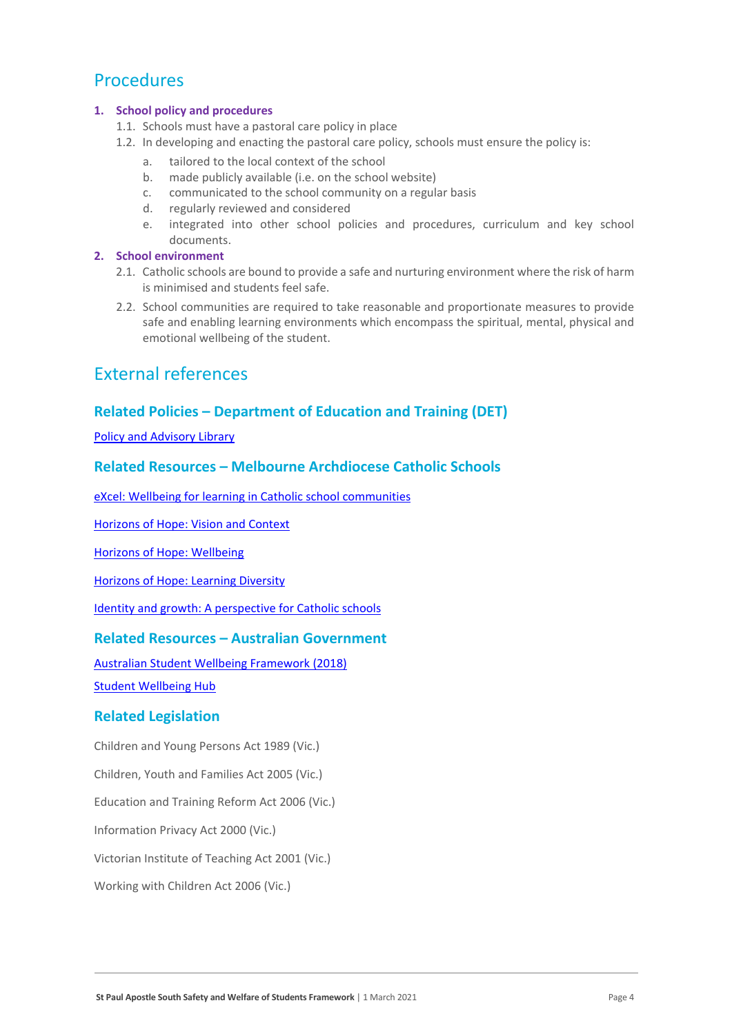## Procedures

#### **1. School policy and procedures**

- 1.1. Schools must have a pastoral care policy in place
- 1.2. In developing and enacting the pastoral care policy, schools must ensure the policy is:
	- a. tailored to the local context of the school
	- b. made publicly available (i.e. on the school website)
	- c. communicated to the school community on a regular basis
	- d. regularly reviewed and considered
	- e. integrated into other school policies and procedures, curriculum and key school documents.

### **2. School environment**

- 2.1. Catholic schools are bound to provide a safe and nurturing environment where the risk of harm is minimised and students feel safe.
- 2.2. School communities are required to take reasonable and proportionate measures to provide safe and enabling learning environments which encompass the spiritual, mental, physical and emotional wellbeing of the student.

### External references

### **Related Policies – Department of Education and Training (DET)**

[Policy and Advisory Library](https://www2.education.vic.gov.au/pal)

### **Related Resources – Melbourne Archdiocese Catholic Schools**

[eXcel: Wellbeing for learning in Catholic school communities](https://www.cem.edu.au/Our-Schools/Curriculum-Learning-Programs/Student-Wellbeing/eXcel.aspx)

[Horizons of Hope: Vision and Context](https://www.cem.edu.au/Our-Schools/Curriculum-Learning-Programs/Horizons-of-Hope/Vision-Context.aspx)

[Horizons of Hope: Wellbeing](https://www.cem.edu.au/Our-Schools/Curriculum-Learning-Programs/Student-Wellbeing.aspx)

[Horizons of Hope: Learning Diversity](https://www.cem.edu.au/Our-Schools/Curriculum-Learning-Programs/Horizons-of-Hope/Learning-Diversity.aspx)

[Identity and growth: A perspective for Catholic schools](https://cevn.cecv.catholic.edu.au/Melb/CI/Identity-Growth)

### **Related Resources – Australian Government**

[Australian Student Wellbeing Framework \(2018\)](https://www.studentwellbeinghub.edu.au/docs/default-source/aswf_booklet-pdf.pdf)

[Student Wellbeing Hub](https://www.studentwellbeinghub.edu.au/)

#### **Related Legislation**

Children and Young Persons Act 1989 (Vic.)

Children, Youth and Families Act 2005 (Vic.)

Education and Training Reform Act 2006 (Vic.)

Information Privacy Act 2000 (Vic.)

Victorian Institute of Teaching Act 2001 (Vic.)

Working with Children Act 2006 (Vic.)